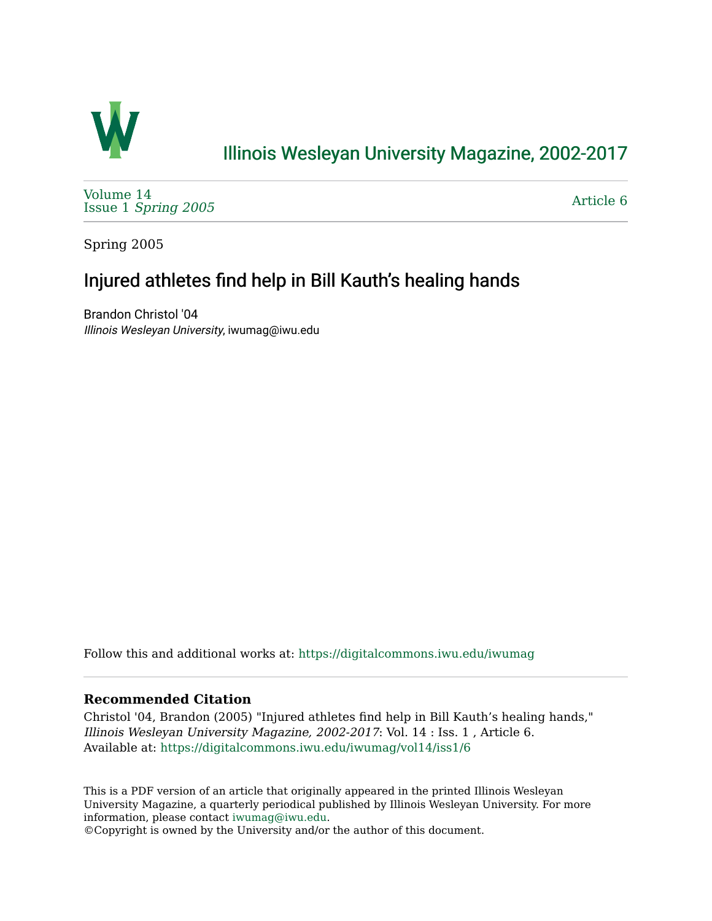

## [Illinois Wesleyan University Magazine, 2002-2017](https://digitalcommons.iwu.edu/iwumag)

[Volume 14](https://digitalcommons.iwu.edu/iwumag/vol14)  Issue 1 [Spring 2005](https://digitalcommons.iwu.edu/iwumag/vol14/iss1)

[Article 6](https://digitalcommons.iwu.edu/iwumag/vol14/iss1/6) 

Spring 2005

## Injured athletes find help in Bill Kauth's healing hands

Brandon Christol '04 Illinois Wesleyan University, iwumag@iwu.edu

Follow this and additional works at: [https://digitalcommons.iwu.edu/iwumag](https://digitalcommons.iwu.edu/iwumag?utm_source=digitalcommons.iwu.edu%2Fiwumag%2Fvol14%2Fiss1%2F6&utm_medium=PDF&utm_campaign=PDFCoverPages) 

#### **Recommended Citation**

Christol '04, Brandon (2005) "Injured athletes find help in Bill Kauth's healing hands," Illinois Wesleyan University Magazine, 2002-2017: Vol. 14 : Iss. 1 , Article 6. Available at: [https://digitalcommons.iwu.edu/iwumag/vol14/iss1/6](https://digitalcommons.iwu.edu/iwumag/vol14/iss1/6?utm_source=digitalcommons.iwu.edu%2Fiwumag%2Fvol14%2Fiss1%2F6&utm_medium=PDF&utm_campaign=PDFCoverPages)

This is a PDF version of an article that originally appeared in the printed Illinois Wesleyan University Magazine, a quarterly periodical published by Illinois Wesleyan University. For more information, please contact [iwumag@iwu.edu](mailto:iwumag@iwu.edu).

©Copyright is owned by the University and/or the author of this document.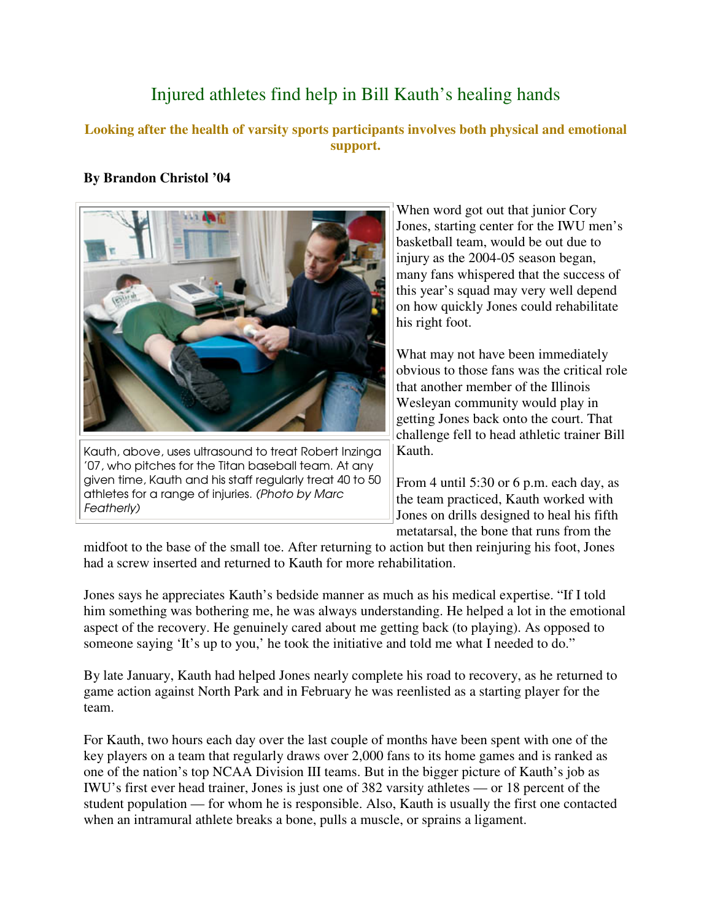# Injured athletes find help in Bill Kauth's healing hands

### **Looking after the health of varsity sports participants involves both physical and emotional support.**

### **By Brandon Christol '04**



Kauth, above, uses ultrasound to treat Robert Inzinga '07, who pitches for the Titan baseball team. At any given time, Kauth and his staff regularly treat 40 to 50 athletes for a range of injuries. (Photo by Marc Featherly)

When word got out that junior Cory Jones, starting center for the IWU men's basketball team, would be out due to injury as the 2004-05 season began, many fans whispered that the success of this year's squad may very well depend on how quickly Jones could rehabilitate his right foot.

What may not have been immediately obvious to those fans was the critical role that another member of the Illinois Wesleyan community would play in getting Jones back onto the court. That challenge fell to head athletic trainer Bill Kauth.

From 4 until 5:30 or 6 p.m. each day, as the team practiced, Kauth worked with Jones on drills designed to heal his fifth metatarsal, the bone that runs from the

midfoot to the base of the small toe. After returning to action but then reinjuring his foot, Jones had a screw inserted and returned to Kauth for more rehabilitation.

Jones says he appreciates Kauth's bedside manner as much as his medical expertise. "If I told him something was bothering me, he was always understanding. He helped a lot in the emotional aspect of the recovery. He genuinely cared about me getting back (to playing). As opposed to someone saying 'It's up to you,' he took the initiative and told me what I needed to do."

By late January, Kauth had helped Jones nearly complete his road to recovery, as he returned to game action against North Park and in February he was reenlisted as a starting player for the team.

For Kauth, two hours each day over the last couple of months have been spent with one of the key players on a team that regularly draws over 2,000 fans to its home games and is ranked as one of the nation's top NCAA Division III teams. But in the bigger picture of Kauth's job as IWU's first ever head trainer, Jones is just one of 382 varsity athletes — or 18 percent of the student population — for whom he is responsible. Also, Kauth is usually the first one contacted when an intramural athlete breaks a bone, pulls a muscle, or sprains a ligament.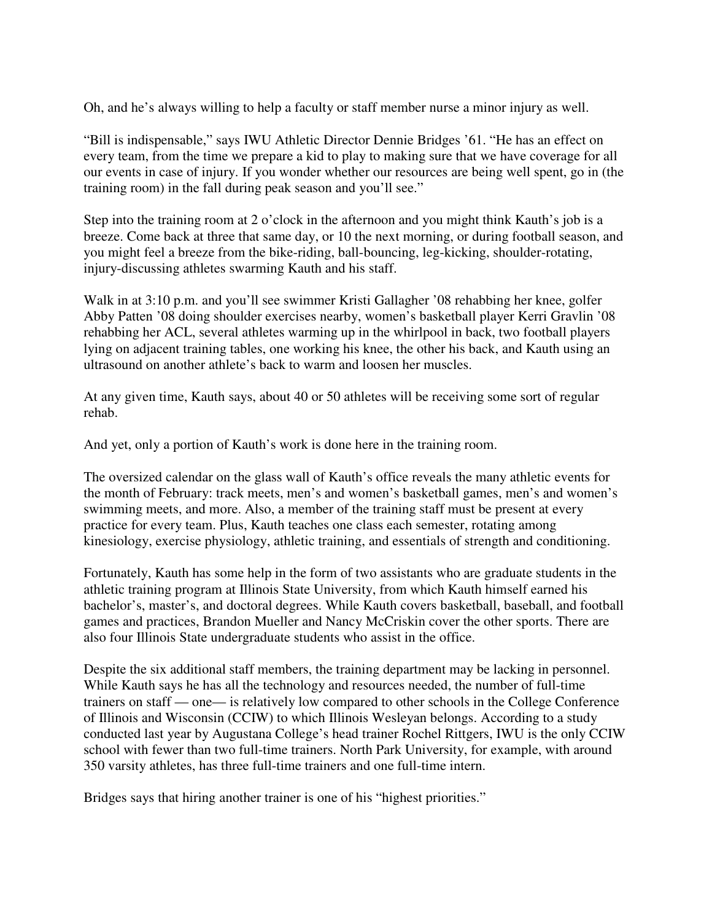Oh, and he's always willing to help a faculty or staff member nurse a minor injury as well.

"Bill is indispensable," says IWU Athletic Director Dennie Bridges '61. "He has an effect on every team, from the time we prepare a kid to play to making sure that we have coverage for all our events in case of injury. If you wonder whether our resources are being well spent, go in (the training room) in the fall during peak season and you'll see."

Step into the training room at 2 o'clock in the afternoon and you might think Kauth's job is a breeze. Come back at three that same day, or 10 the next morning, or during football season, and you might feel a breeze from the bike-riding, ball-bouncing, leg-kicking, shoulder-rotating, injury-discussing athletes swarming Kauth and his staff.

Walk in at 3:10 p.m. and you'll see swimmer Kristi Gallagher '08 rehabbing her knee, golfer Abby Patten '08 doing shoulder exercises nearby, women's basketball player Kerri Gravlin '08 rehabbing her ACL, several athletes warming up in the whirlpool in back, two football players lying on adjacent training tables, one working his knee, the other his back, and Kauth using an ultrasound on another athlete's back to warm and loosen her muscles.

At any given time, Kauth says, about 40 or 50 athletes will be receiving some sort of regular rehab.

And yet, only a portion of Kauth's work is done here in the training room.

The oversized calendar on the glass wall of Kauth's office reveals the many athletic events for the month of February: track meets, men's and women's basketball games, men's and women's swimming meets, and more. Also, a member of the training staff must be present at every practice for every team. Plus, Kauth teaches one class each semester, rotating among kinesiology, exercise physiology, athletic training, and essentials of strength and conditioning.

Fortunately, Kauth has some help in the form of two assistants who are graduate students in the athletic training program at Illinois State University, from which Kauth himself earned his bachelor's, master's, and doctoral degrees. While Kauth covers basketball, baseball, and football games and practices, Brandon Mueller and Nancy McCriskin cover the other sports. There are also four Illinois State undergraduate students who assist in the office.

Despite the six additional staff members, the training department may be lacking in personnel. While Kauth says he has all the technology and resources needed, the number of full-time trainers on staff — one— is relatively low compared to other schools in the College Conference of Illinois and Wisconsin (CCIW) to which Illinois Wesleyan belongs. According to a study conducted last year by Augustana College's head trainer Rochel Rittgers, IWU is the only CCIW school with fewer than two full-time trainers. North Park University, for example, with around 350 varsity athletes, has three full-time trainers and one full-time intern.

Bridges says that hiring another trainer is one of his "highest priorities."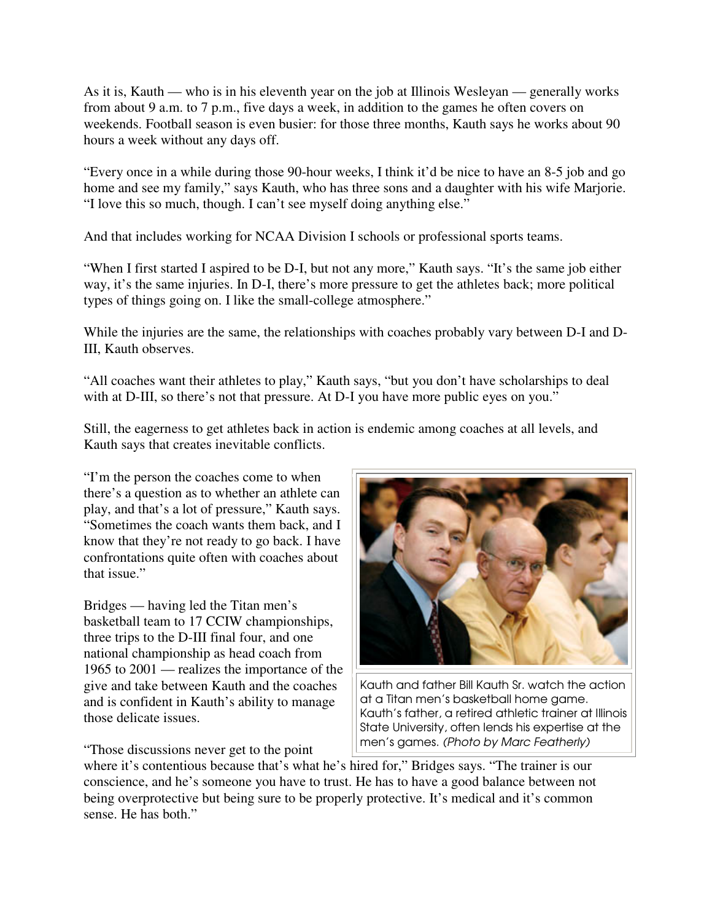As it is, Kauth — who is in his eleventh year on the job at Illinois Wesleyan — generally works from about 9 a.m. to 7 p.m., five days a week, in addition to the games he often covers on weekends. Football season is even busier: for those three months, Kauth says he works about 90 hours a week without any days off.

"Every once in a while during those 90-hour weeks, I think it'd be nice to have an 8-5 job and go home and see my family," says Kauth, who has three sons and a daughter with his wife Marjorie. "I love this so much, though. I can't see myself doing anything else."

And that includes working for NCAA Division I schools or professional sports teams.

"When I first started I aspired to be D-I, but not any more," Kauth says. "It's the same job either way, it's the same injuries. In D-I, there's more pressure to get the athletes back; more political types of things going on. I like the small-college atmosphere."

While the injuries are the same, the relationships with coaches probably vary between D-I and D-III, Kauth observes.

"All coaches want their athletes to play," Kauth says, "but you don't have scholarships to deal with at D-III, so there's not that pressure. At D-I you have more public eyes on you."

Still, the eagerness to get athletes back in action is endemic among coaches at all levels, and Kauth says that creates inevitable conflicts.

"I'm the person the coaches come to when there's a question as to whether an athlete can play, and that's a lot of pressure," Kauth says. "Sometimes the coach wants them back, and I know that they're not ready to go back. I have confrontations quite often with coaches about that issue."

Bridges — having led the Titan men's basketball team to 17 CCIW championships, three trips to the D-III final four, and one national championship as head coach from 1965 to 2001 — realizes the importance of the give and take between Kauth and the coaches and is confident in Kauth's ability to manage those delicate issues.

"Those discussions never get to the point



Kauth and father Bill Kauth Sr. watch the action at a Titan men's basketball home game. Kauth's father, a retired athletic trainer at Illinois State University, often lends his expertise at the men's games. (Photo by Marc Featherly)

where it's contentious because that's what he's hired for," Bridges says. "The trainer is our conscience, and he's someone you have to trust. He has to have a good balance between not being overprotective but being sure to be properly protective. It's medical and it's common sense. He has both."